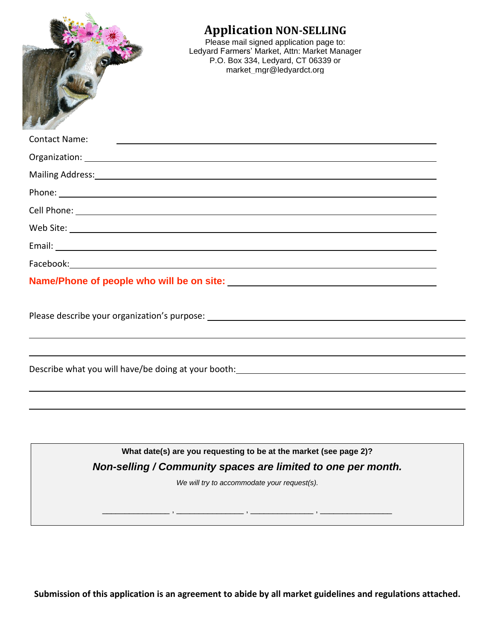| <b>Application NON-SELLING</b><br>Please mail signed application page to:<br>Ledyard Farmers' Market, Attn: Market Manager<br>P.O. Box 334, Ledyard, CT 06339 or<br>market_mgr@ledyardct.org                                   |  |
|--------------------------------------------------------------------------------------------------------------------------------------------------------------------------------------------------------------------------------|--|
| <b>Contact Name:</b><br><u> 1990 - Jan Alexandro II, politik američki politik († 1900)</u>                                                                                                                                     |  |
|                                                                                                                                                                                                                                |  |
| Mailing Address: National Address: National Address: National Address: National Address: National Address: National Address: National Address: National Address: National Address: National Address: National Address: Nationa |  |
|                                                                                                                                                                                                                                |  |
|                                                                                                                                                                                                                                |  |
|                                                                                                                                                                                                                                |  |
|                                                                                                                                                                                                                                |  |
| Facebook: 2008 and 2008 and 2008 and 2008 and 2008 and 2008 and 2008 and 2008 and 2008 and 2008 and 2008 and 20                                                                                                                |  |
|                                                                                                                                                                                                                                |  |
|                                                                                                                                                                                                                                |  |
| Describe what you will have/be doing at your booth:                                                                                                                                                                            |  |
| What date(s) are you requesting to be at the market (see page 2)?                                                                                                                                                              |  |
| Non-selling / Community spaces are limited to one per month.                                                                                                                                                                   |  |
| We will try to accommodate your request(s).                                                                                                                                                                                    |  |
|                                                                                                                                                                                                                                |  |
|                                                                                                                                                                                                                                |  |

**Submission of this application is an agreement to abide by all market guidelines and regulations attached.**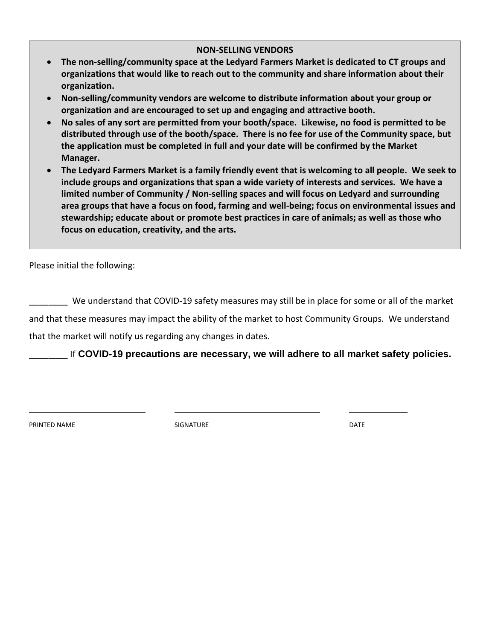# **NON-SELLING VENDORS**

- **The non-selling/community space at the Ledyard Farmers Market is dedicated to CT groups and organizations that would like to reach out to the community and share information about their organization.**
- **Non-selling/community vendors are welcome to distribute information about your group or organization and are encouraged to set up and engaging and attractive booth.**
- **No sales of any sort are permitted from your booth/space. Likewise, no food is permitted to be distributed through use of the booth/space. There is no fee for use of the Community space, but the application must be completed in full and your date will be confirmed by the Market Manager.**
- **The Ledyard Farmers Market is a family friendly event that is welcoming to all people. We seek to include groups and organizations that span a wide variety of interests and services. We have a limited number of Community / Non-selling spaces and will focus on Ledyard and surrounding area groups that have a focus on food, farming and well-being; focus on environmental issues and stewardship; educate about or promote best practices in care of animals; as well as those who focus on education, creativity, and the arts.**

Please initial the following:

\_\_\_\_\_\_\_\_ We understand that COVID-19 safety measures may still be in place for some or all of the market and that these measures may impact the ability of the market to host Community Groups. We understand that the market will notify us regarding any changes in dates.

\_\_\_\_\_\_\_\_ If **COVID-19 precautions are necessary, we will adhere to all market safety policies.**

PRINTED NAME DATE SIGNATURE SIGNATURE THE SERVICE OF THE DATE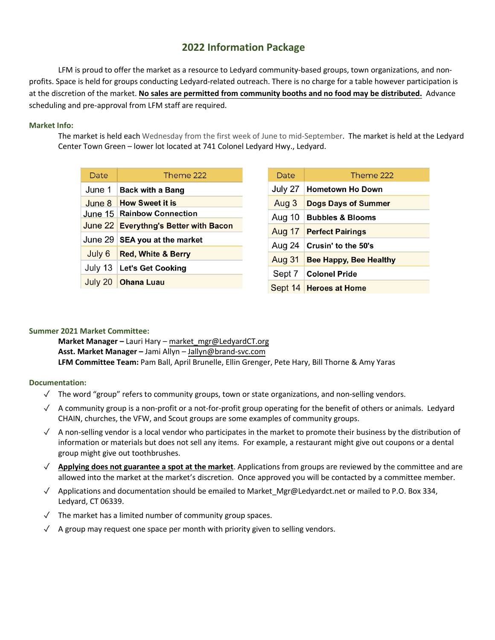# **2022 Information Package**

LFM is proud to offer the market as a resource to Ledyard community-based groups, town organizations, and nonprofits. Space is held for groups conducting Ledyard-related outreach. There is no charge for a table however participation is at the discretion of the market. **No sales are permitted from community booths and no food may be distributed.** Advance scheduling and pre-approval from LFM staff are required.

## **Market Info:**

The market is held each Wednesday from the first week of June to mid-September. The market is held at the Ledyard Center Town Green – lower lot located at 741 Colonel Ledyard Hwy., Ledyard.

| Date    | Theme 222                             |
|---------|---------------------------------------|
| June 1  | <b>Back with a Bang</b>               |
| June 8  | <b>How Sweet it is</b>                |
|         | June 15   Rainbow Connection          |
|         | June 22 Everythng's Better with Bacon |
| June 29 | <b>SEA you at the market</b>          |
| July 6  | <b>Red, White &amp; Berry</b>         |
| July 13 | Let's Get Cooking                     |
| July 20 | <b>Ohana Luau</b>                     |

| Date          | Theme 222                     |
|---------------|-------------------------------|
| July 27       | <b>Hometown Ho Down</b>       |
| Aug 3         | <b>Dogs Days of Summer</b>    |
|               | Aug 10   Bubbles & Blooms     |
|               | Aug 17 Perfect Pairings       |
| Aug 24        | Crusin' to the 50's           |
| <b>Aug 31</b> | <b>Bee Happy, Bee Healthy</b> |
|               | Sept 7 Colonel Pride          |
|               | Sept 14 Heroes at Home        |

# **Summer 2021 Market Committee:**

**Market Manager –** Lauri Hary – market\_mgr@LedyardCT.org **Asst. Market Manager –** Jami Allyn – Jallyn@brand-svc.com **LFM Committee Team:** Pam Ball, April Brunelle, Ellin Grenger, Pete Hary, Bill Thorne & Amy Yaras

### **Documentation:**

- $\checkmark$  The word "group" refers to community groups, town or state organizations, and non-selling vendors.
- ✓ A community group is a non-profit or a not-for-profit group operating for the benefit of others or animals. Ledyard CHAIN, churches, the VFW, and Scout groups are some examples of community groups.
- $\sqrt{ }$  A non-selling vendor is a local vendor who participates in the market to promote their business by the distribution of information or materials but does not sell any items. For example, a restaurant might give out coupons or a dental group might give out toothbrushes.
- ✓ **Applying does not guarantee a spot at the market**. Applications from groups are reviewed by the committee and are allowed into the market at the market's discretion. Once approved you will be contacted by a committee member.
- ✓ Applications and documentation should be emailed to Market\_Mgr@Ledyardct.net or mailed to P.O. Box 334, Ledyard, CT 06339.
- ✓ The market has a limited number of community group spaces.
- ✓ A group may request one space per month with priority given to selling vendors.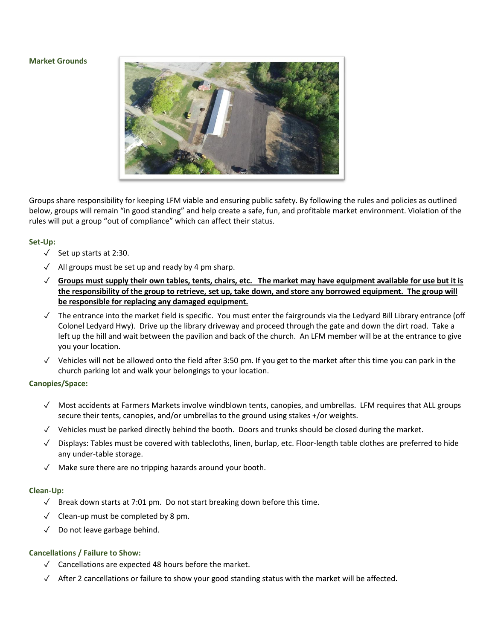#### **Market Grounds**



Groups share responsibility for keeping LFM viable and ensuring public safety. By following the rules and policies as outlined below, groups will remain "in good standing" and help create a safe, fun, and profitable market environment. Violation of the rules will put a group "out of compliance" which can affect their status.

#### **Set-Up:**

- $\sqrt{ }$  Set up starts at 2:30.
- ✓ All groups must be set up and ready by 4 pm sharp.
- $\sqrt{ }$  Groups must supply their own tables, tents, chairs, etc. The market may have equipment available for use but it is the responsibility of the group to retrieve, set up, take down, and store any borrowed equipment. The group will **be responsible for replacing any damaged equipment.**
- ✓ The entrance into the market field is specific. You must enter the fairgrounds via the Ledyard Bill Library entrance (off Colonel Ledyard Hwy). Drive up the library driveway and proceed through the gate and down the dirt road. Take a left up the hill and wait between the pavilion and back of the church. An LFM member will be at the entrance to give you your location.
- $\sqrt{ }$  Vehicles will not be allowed onto the field after 3:50 pm. If you get to the market after this time you can park in the church parking lot and walk your belongings to your location.

#### **Canopies/Space:**

- ✓ Most accidents at Farmers Markets involve windblown tents, canopies, and umbrellas. LFM requires that ALL groups secure their tents, canopies, and/or umbrellas to the ground using stakes +/or weights.
- ✓ Vehicles must be parked directly behind the booth. Doors and trunks should be closed during the market.
- $\sqrt{ }$  Displays: Tables must be covered with tablecloths, linen, burlap, etc. Floor-length table clothes are preferred to hide any under-table storage.
- ✓ Make sure there are no tripping hazards around your booth.

#### **Clean-Up:**

- ✓ Break down starts at 7:01 pm. Do not start breaking down before this time.
- $\sqrt{\phantom{a}}$  Clean-up must be completed by 8 pm.
- ✓ Do not leave garbage behind.

#### **Cancellations / Failure to Show:**

- ✓ Cancellations are expected 48 hours before the market.
- $\sqrt{\phantom{a}}$  After 2 cancellations or failure to show your good standing status with the market will be affected.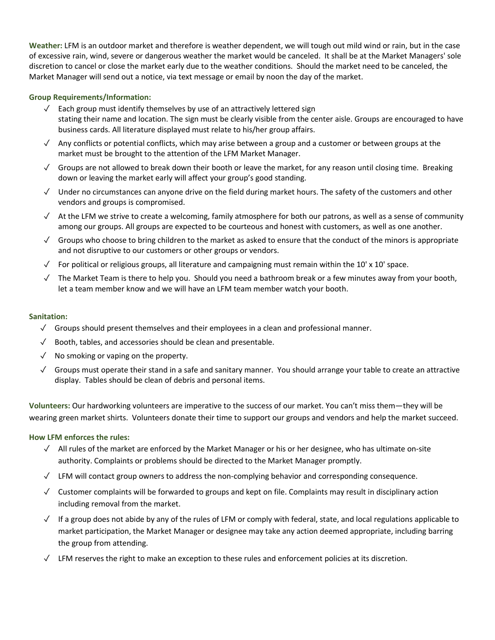**Weather:** LFM is an outdoor market and therefore is weather dependent, we will tough out mild wind or rain, but in the case of excessive rain, wind, severe or dangerous weather the market would be canceled. It shall be at the Market Managers' sole discretion to cancel or close the market early due to the weather conditions. Should the market need to be canceled, the Market Manager will send out a notice, via text message or email by noon the day of the market.

## **Group Requirements/Information:**

- ✓ Each group must identify themselves by use of an attractively lettered sign stating their name and location. The sign must be clearly visible from the center aisle. Groups are encouraged to have business cards. All literature displayed must relate to his/her group affairs.
- ✓ Any conflicts or potential conflicts, which may arise between a group and a customer or between groups at the market must be brought to the attention of the LFM Market Manager.
- $\sqrt{\phantom{a}}$  Groups are not allowed to break down their booth or leave the market, for any reason until closing time. Breaking down or leaving the market early will affect your group's good standing.
- ✓ Under no circumstances can anyone drive on the field during market hours. The safety of the customers and other vendors and groups is compromised.
- $\sqrt{ }$  At the LFM we strive to create a welcoming, family atmosphere for both our patrons, as well as a sense of community among our groups. All groups are expected to be courteous and honest with customers, as well as one another.
- ✓ Groups who choose to bring children to the market as asked to ensure that the conduct of the minors is appropriate and not disruptive to our customers or other groups or vendors.
- $\checkmark$  For political or religious groups, all literature and campaigning must remain within the 10' x 10' space.
- $\sqrt{ }$  The Market Team is there to help you. Should you need a bathroom break or a few minutes away from your booth, let a team member know and we will have an LFM team member watch your booth.

#### **Sanitation:**

- $\checkmark$  Groups should present themselves and their employees in a clean and professional manner.
- ✓ Booth, tables, and accessories should be clean and presentable.
- $\sqrt{\phantom{a}}$  No smoking or vaping on the property.
- ✓ Groups must operate their stand in a safe and sanitary manner. You should arrange your table to create an attractive display. Tables should be clean of debris and personal items.

**Volunteers:** Our hardworking volunteers are imperative to the success of our market. You can't miss them—they will be wearing green market shirts. Volunteers donate their time to support our groups and vendors and help the market succeed.

### **How LFM enforces the rules:**

- ✓ All rules of the market are enforced by the Market Manager or his or her designee, who has ultimate on-site authority. Complaints or problems should be directed to the Market Manager promptly.
- $\sqrt{ }$  LFM will contact group owners to address the non-complying behavior and corresponding consequence.
- ✓ Customer complaints will be forwarded to groups and kept on file. Complaints may result in disciplinary action including removal from the market.
- $\sqrt{ }$  If a group does not abide by any of the rules of LFM or comply with federal, state, and local regulations applicable to market participation, the Market Manager or designee may take any action deemed appropriate, including barring the group from attending.
- $\sqrt{ }$  LFM reserves the right to make an exception to these rules and enforcement policies at its discretion.